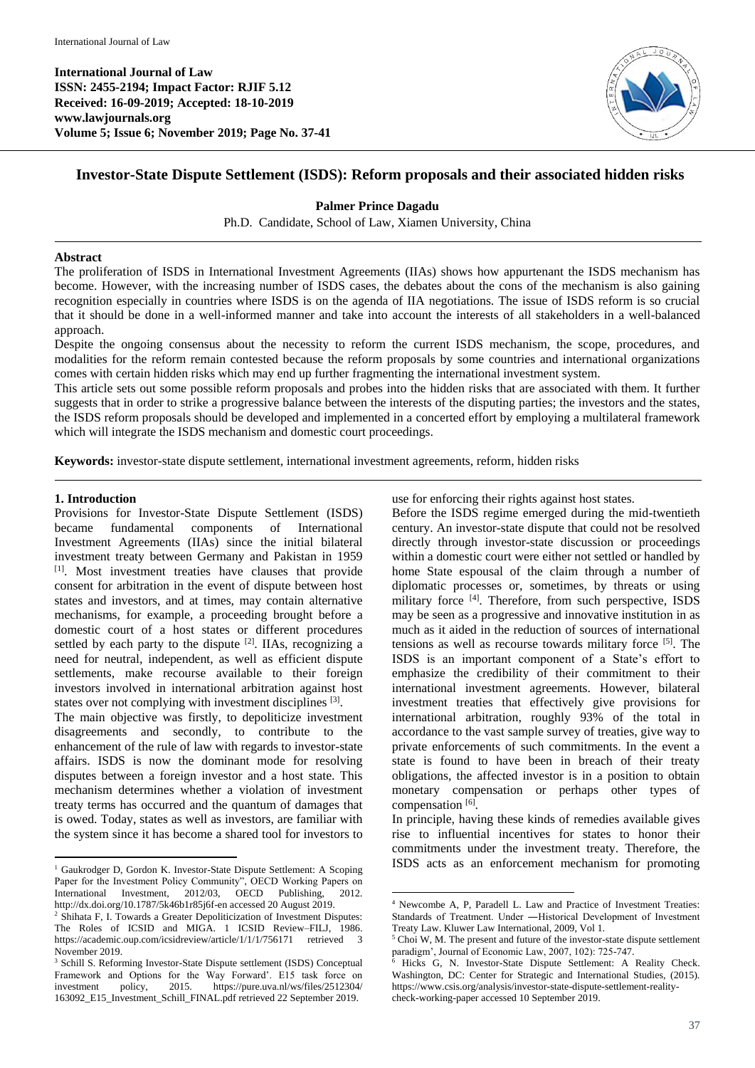**International Journal of Law ISSN: 2455-2194; Impact Factor: RJIF 5.12 Received: 16-09-2019; Accepted: 18-10-2019 www.lawjournals.org Volume 5; Issue 6; November 2019; Page No. 37-41**



# **Investor-State Dispute Settlement (ISDS): Reform proposals and their associated hidden risks**

### **Palmer Prince Dagadu**

Ph.D. Candidate, School of Law, Xiamen University, China

#### **Abstract**

The proliferation of ISDS in International Investment Agreements (IIAs) shows how appurtenant the ISDS mechanism has become. However, with the increasing number of ISDS cases, the debates about the cons of the mechanism is also gaining recognition especially in countries where ISDS is on the agenda of IIA negotiations. The issue of ISDS reform is so crucial that it should be done in a well-informed manner and take into account the interests of all stakeholders in a well-balanced approach.

Despite the ongoing consensus about the necessity to reform the current ISDS mechanism, the scope, procedures, and modalities for the reform remain contested because the reform proposals by some countries and international organizations comes with certain hidden risks which may end up further fragmenting the international investment system.

This article sets out some possible reform proposals and probes into the hidden risks that are associated with them. It further suggests that in order to strike a progressive balance between the interests of the disputing parties; the investors and the states, the ISDS reform proposals should be developed and implemented in a concerted effort by employing a multilateral framework which will integrate the ISDS mechanism and domestic court proceedings.

1

**Keywords:** investor-state dispute settlement, international investment agreements, reform, hidden risks

#### **1. Introduction**

Provisions for Investor-State Dispute Settlement (ISDS) became fundamental components of International Investment Agreements (IIAs) since the initial bilateral investment treaty between Germany and Pakistan in 1959 [1] . Most investment treaties have clauses that provide consent for arbitration in the event of dispute between host states and investors, and at times, may contain alternative mechanisms, for example, a proceeding brought before a domestic court of a host states or different procedures settled by each party to the dispute <sup>[2]</sup>. IIAs, recognizing a need for neutral, independent, as well as efficient dispute settlements, make recourse available to their foreign investors involved in international arbitration against host states over not complying with investment disciplines [3].

The main objective was firstly, to depoliticize investment disagreements and secondly, to contribute to the enhancement of the rule of law with regards to investor-state affairs. ISDS is now the dominant mode for resolving disputes between a foreign investor and a host state. This mechanism determines whether a violation of investment treaty terms has occurred and the quantum of damages that is owed. Today, states as well as investors, are familiar with the system since it has become a shared tool for investors to

 $\overline{a}$ <sup>1</sup> Gaukrodger D, Gordon K. Investor-State Dispute Settlement: A Scoping Paper for the Investment Policy Community", OECD Working Papers on International Investment, 2012/03, OECD Publishing, 2012. http://dx.doi.org/10.1787/5k46b1r85j6f-en accessed 20 August 2019. <sup>2</sup> Shihata F, I. Towards a Greater Depoliticization of Investment Disputes: The Roles of ICSID and MIGA. 1 ICSID Review–FILJ, 1986.

use for enforcing their rights against host states.

Before the ISDS regime emerged during the mid-twentieth century. An investor-state dispute that could not be resolved directly through investor-state discussion or proceedings within a domestic court were either not settled or handled by home State espousal of the claim through a number of diplomatic processes or, sometimes, by threats or using military force [4] . Therefore, from such perspective, ISDS may be seen as a progressive and innovative institution in as much as it aided in the reduction of sources of international tensions as well as recourse towards military force [5] . The ISDS is an important component of a State's effort to emphasize the credibility of their commitment to their international investment agreements. However, bilateral investment treaties that effectively give provisions for international arbitration, roughly 93% of the total in accordance to the vast sample survey of treaties, give way to private enforcements of such commitments. In the event a state is found to have been in breach of their treaty obligations, the affected investor is in a position to obtain monetary compensation or perhaps other types of compensation [6].

In principle, having these kinds of remedies available gives rise to influential incentives for states to honor their commitments under the investment treaty. Therefore, the ISDS acts as an enforcement mechanism for promoting

https://academic.oup.com/icsidreview/article/1/1/1/756171 retrieved November 2019.

<sup>&</sup>lt;sup>3</sup> Schill S. Reforming Investor-State Dispute settlement (ISDS) Conceptual Framework and Options for the Way Forward'. E15 task force on investment policy, 2015. https://pure.uva.nl/ws/files/2512304/ 163092\_E15\_Investment\_Schill\_FINAL.pdf retrieved 22 September 2019.

<sup>4</sup> Newcombe A, P, Paradell L. Law and Practice of Investment Treaties: Standards of Treatment. Under ―Historical Development of Investment Treaty Law. Kluwer Law International, 2009, Vol 1.

 $5$  Choi W, M. The present and future of the investor-state dispute settlement paradigm', Journal of Economic Law, 2007, 102): 725-747.

Hicks G, N. Investor-State Dispute Settlement: A Reality Check. Washington, DC: Center for Strategic and International Studies, (2015). https://www.csis.org/analysis/investor-state-dispute-settlement-realitycheck-working-paper accessed 10 September 2019.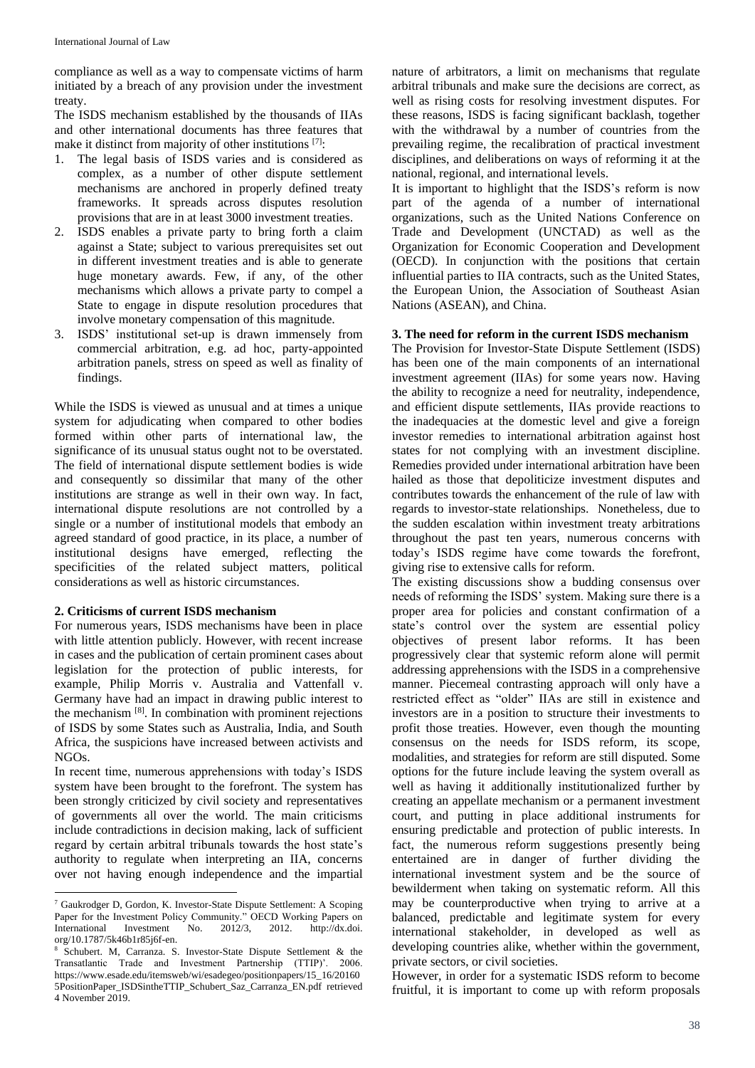compliance as well as a way to compensate victims of harm initiated by a breach of any provision under the investment treaty.

The ISDS mechanism established by the thousands of IIAs and other international documents has three features that make it distinct from majority of other institutions [7]:

- 1. The legal basis of ISDS varies and is considered as complex, as a number of other dispute settlement mechanisms are anchored in properly defined treaty frameworks. It spreads across disputes resolution provisions that are in at least 3000 investment treaties.
- 2. ISDS enables a private party to bring forth a claim against a State; subject to various prerequisites set out in different investment treaties and is able to generate huge monetary awards. Few, if any, of the other mechanisms which allows a private party to compel a State to engage in dispute resolution procedures that involve monetary compensation of this magnitude.
- 3. ISDS' institutional set-up is drawn immensely from commercial arbitration, e.g. ad hoc, party-appointed arbitration panels, stress on speed as well as finality of findings.

While the ISDS is viewed as unusual and at times a unique system for adjudicating when compared to other bodies formed within other parts of international law, the significance of its unusual status ought not to be overstated. The field of international dispute settlement bodies is wide and consequently so dissimilar that many of the other institutions are strange as well in their own way. In fact, international dispute resolutions are not controlled by a single or a number of institutional models that embody an agreed standard of good practice, in its place, a number of institutional designs have emerged, reflecting the specificities of the related subject matters, political considerations as well as historic circumstances.

#### **2. Criticisms of current ISDS mechanism**

For numerous years, ISDS mechanisms have been in place with little attention publicly. However, with recent increase in cases and the publication of certain prominent cases about legislation for the protection of public interests, for example, Philip Morris v. Australia and Vattenfall v. Germany have had an impact in drawing public interest to the mechanism  $[8]$ . In combination with prominent rejections of ISDS by some States such as Australia, India, and South Africa, the suspicions have increased between activists and NGOs.

In recent time, numerous apprehensions with today's ISDS system have been brought to the forefront. The system has been strongly criticized by civil society and representatives of governments all over the world. The main criticisms include contradictions in decision making, lack of sufficient regard by certain arbitral tribunals towards the host state's authority to regulate when interpreting an IIA, concerns over not having enough independence and the impartial

 $\ddot{\phantom{a}}$ 

nature of arbitrators, a limit on mechanisms that regulate arbitral tribunals and make sure the decisions are correct, as well as rising costs for resolving investment disputes. For these reasons, ISDS is facing significant backlash, together with the withdrawal by a number of countries from the prevailing regime, the recalibration of practical investment disciplines, and deliberations on ways of reforming it at the national, regional, and international levels.

It is important to highlight that the ISDS's reform is now part of the agenda of a number of international organizations, such as the United Nations Conference on Trade and Development (UNCTAD) as well as the Organization for Economic Cooperation and Development (OECD). In conjunction with the positions that certain influential parties to IIA contracts, such as the United States, the European Union, the Association of Southeast Asian Nations (ASEAN), and China.

### **3. The need for reform in the current ISDS mechanism**

The Provision for Investor-State Dispute Settlement (ISDS) has been one of the main components of an international investment agreement (IIAs) for some years now. Having the ability to recognize a need for neutrality, independence, and efficient dispute settlements, IIAs provide reactions to the inadequacies at the domestic level and give a foreign investor remedies to international arbitration against host states for not complying with an investment discipline. Remedies provided under international arbitration have been hailed as those that depoliticize investment disputes and contributes towards the enhancement of the rule of law with regards to investor-state relationships. Nonetheless, due to the sudden escalation within investment treaty arbitrations throughout the past ten years, numerous concerns with today's ISDS regime have come towards the forefront, giving rise to extensive calls for reform.

The existing discussions show a budding consensus over needs of reforming the ISDS' system. Making sure there is a proper area for policies and constant confirmation of a state's control over the system are essential policy objectives of present labor reforms. It has been progressively clear that systemic reform alone will permit addressing apprehensions with the ISDS in a comprehensive manner. Piecemeal contrasting approach will only have a restricted effect as "older" IIAs are still in existence and investors are in a position to structure their investments to profit those treaties. However, even though the mounting consensus on the needs for ISDS reform, its scope, modalities, and strategies for reform are still disputed. Some options for the future include leaving the system overall as well as having it additionally institutionalized further by creating an appellate mechanism or a permanent investment court, and putting in place additional instruments for ensuring predictable and protection of public interests. In fact, the numerous reform suggestions presently being entertained are in danger of further dividing the international investment system and be the source of bewilderment when taking on systematic reform. All this may be counterproductive when trying to arrive at a balanced, predictable and legitimate system for every international stakeholder, in developed as well as developing countries alike, whether within the government, private sectors, or civil societies.

However, in order for a systematic ISDS reform to become fruitful, it is important to come up with reform proposals

<sup>7</sup> Gaukrodger D, Gordon, K. Investor-State Dispute Settlement: A Scoping Paper for the Investment Policy Community." OECD Working Papers on International Investment No. 2012/3, 2012. http://dx.doi. org/10.1787/5k46b1r85j6f-en.

Schubert. M, Carranza. S. Investor-State Dispute Settlement & the Transatlantic Trade and Investment Partnership (TTIP)'. 2006. https://www.esade.edu/itemsweb/wi/esadegeo/positionpapers/15\_16/20160 5PositionPaper\_ISDSintheTTIP\_Schubert\_Saz\_Carranza\_EN.pdf retrieved 4 November 2019.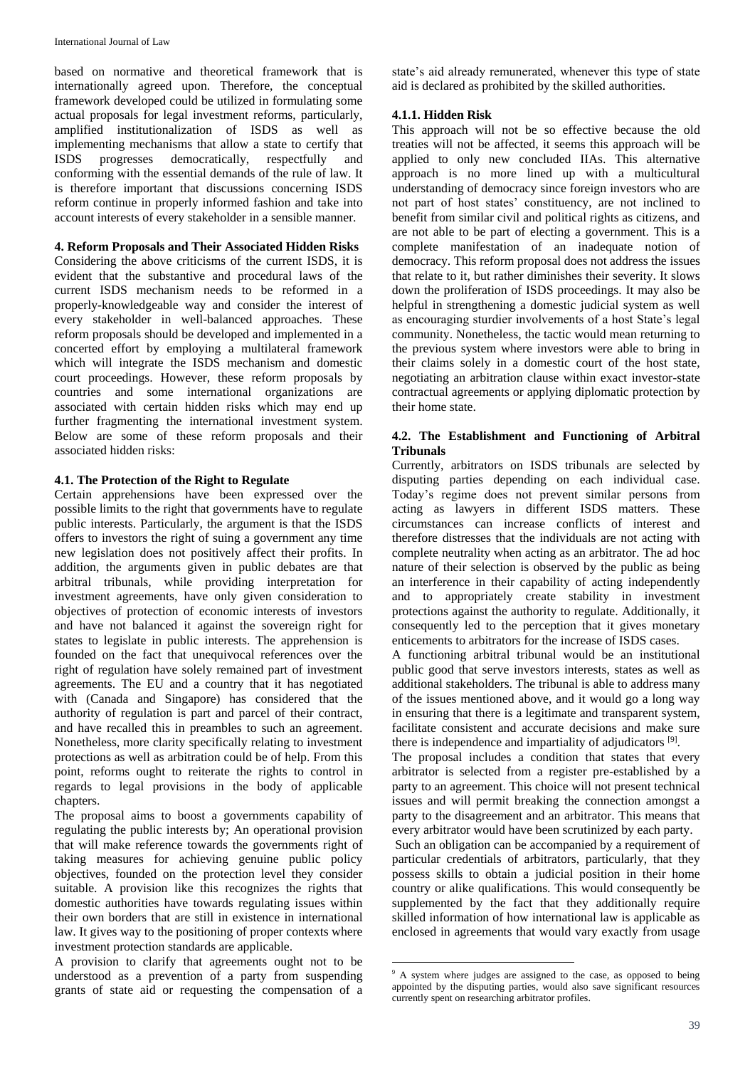based on normative and theoretical framework that is internationally agreed upon. Therefore, the conceptual framework developed could be utilized in formulating some actual proposals for legal investment reforms, particularly, amplified institutionalization of ISDS as well as implementing mechanisms that allow a state to certify that ISDS progresses democratically, respectfully and conforming with the essential demands of the rule of law. It is therefore important that discussions concerning ISDS reform continue in properly informed fashion and take into account interests of every stakeholder in a sensible manner.

# **4. Reform Proposals and Their Associated Hidden Risks**

Considering the above criticisms of the current ISDS, it is evident that the substantive and procedural laws of the current ISDS mechanism needs to be reformed in a properly-knowledgeable way and consider the interest of every stakeholder in well-balanced approaches. These reform proposals should be developed and implemented in a concerted effort by employing a multilateral framework which will integrate the ISDS mechanism and domestic court proceedings. However, these reform proposals by countries and some international organizations are associated with certain hidden risks which may end up further fragmenting the international investment system. Below are some of these reform proposals and their associated hidden risks:

### **4.1. The Protection of the Right to Regulate**

Certain apprehensions have been expressed over the possible limits to the right that governments have to regulate public interests. Particularly, the argument is that the ISDS offers to investors the right of suing a government any time new legislation does not positively affect their profits. In addition, the arguments given in public debates are that arbitral tribunals, while providing interpretation for investment agreements, have only given consideration to objectives of protection of economic interests of investors and have not balanced it against the sovereign right for states to legislate in public interests. The apprehension is founded on the fact that unequivocal references over the right of regulation have solely remained part of investment agreements. The EU and a country that it has negotiated with (Canada and Singapore) has considered that the authority of regulation is part and parcel of their contract, and have recalled this in preambles to such an agreement. Nonetheless, more clarity specifically relating to investment protections as well as arbitration could be of help. From this point, reforms ought to reiterate the rights to control in regards to legal provisions in the body of applicable chapters.

The proposal aims to boost a governments capability of regulating the public interests by; An operational provision that will make reference towards the governments right of taking measures for achieving genuine public policy objectives, founded on the protection level they consider suitable. A provision like this recognizes the rights that domestic authorities have towards regulating issues within their own borders that are still in existence in international law. It gives way to the positioning of proper contexts where investment protection standards are applicable.

A provision to clarify that agreements ought not to be understood as a prevention of a party from suspending grants of state aid or requesting the compensation of a state's aid already remunerated, whenever this type of state aid is declared as prohibited by the skilled authorities.

# **4.1.1. Hidden Risk**

This approach will not be so effective because the old treaties will not be affected, it seems this approach will be applied to only new concluded IIAs. This alternative approach is no more lined up with a multicultural understanding of democracy since foreign investors who are not part of host states' constituency, are not inclined to benefit from similar civil and political rights as citizens, and are not able to be part of electing a government. This is a complete manifestation of an inadequate notion of democracy. This reform proposal does not address the issues that relate to it, but rather diminishes their severity. It slows down the proliferation of ISDS proceedings. It may also be helpful in strengthening a domestic judicial system as well as encouraging sturdier involvements of a host State's legal community. Nonetheless, the tactic would mean returning to the previous system where investors were able to bring in their claims solely in a domestic court of the host state, negotiating an arbitration clause within exact investor-state contractual agreements or applying diplomatic protection by their home state.

### **4.2. The Establishment and Functioning of Arbitral Tribunals**

Currently, arbitrators on ISDS tribunals are selected by disputing parties depending on each individual case. Today's regime does not prevent similar persons from acting as lawyers in different ISDS matters. These circumstances can increase conflicts of interest and therefore distresses that the individuals are not acting with complete neutrality when acting as an arbitrator. The ad hoc nature of their selection is observed by the public as being an interference in their capability of acting independently and to appropriately create stability in investment protections against the authority to regulate. Additionally, it consequently led to the perception that it gives monetary enticements to arbitrators for the increase of ISDS cases.

A functioning arbitral tribunal would be an institutional public good that serve investors interests, states as well as additional stakeholders. The tribunal is able to address many of the issues mentioned above, and it would go a long way in ensuring that there is a legitimate and transparent system, facilitate consistent and accurate decisions and make sure there is independence and impartiality of adjudicators [9].

The proposal includes a condition that states that every arbitrator is selected from a register pre-established by a party to an agreement. This choice will not present technical issues and will permit breaking the connection amongst a party to the disagreement and an arbitrator. This means that every arbitrator would have been scrutinized by each party.

Such an obligation can be accompanied by a requirement of particular credentials of arbitrators, particularly, that they possess skills to obtain a judicial position in their home country or alike qualifications. This would consequently be supplemented by the fact that they additionally require skilled information of how international law is applicable as enclosed in agreements that would vary exactly from usage

**.** 

<sup>&</sup>lt;sup>9</sup> A system where judges are assigned to the case, as opposed to being appointed by the disputing parties, would also save significant resources currently spent on researching arbitrator profiles.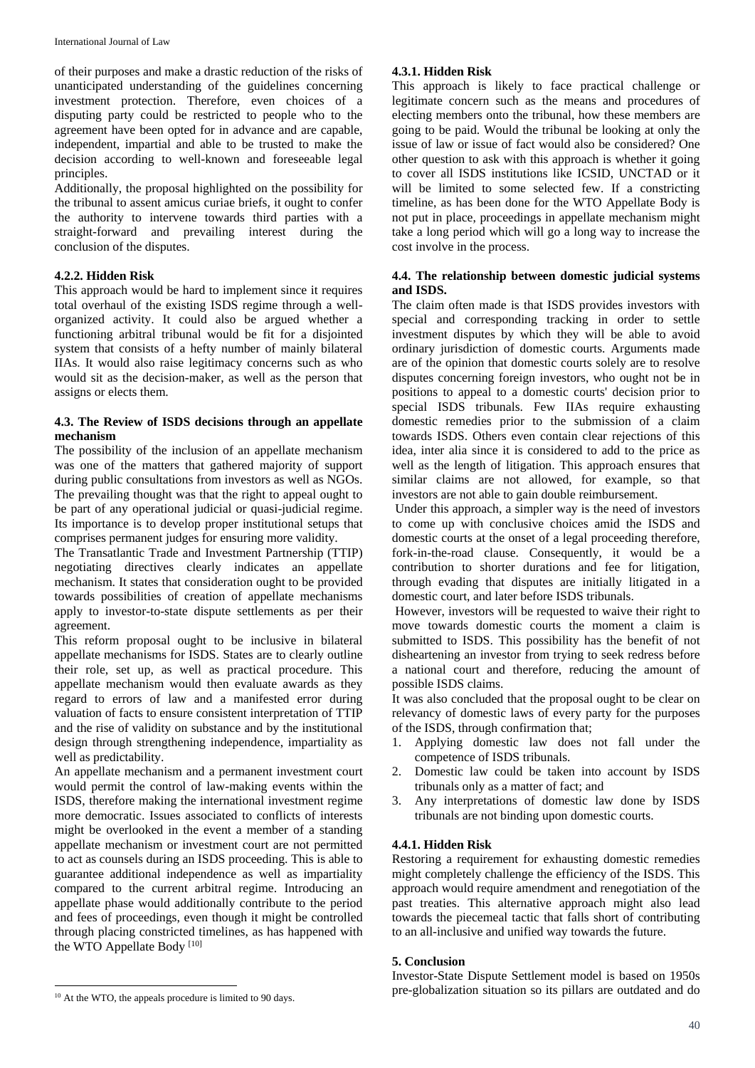of their purposes and make a drastic reduction of the risks of unanticipated understanding of the guidelines concerning investment protection. Therefore, even choices of a disputing party could be restricted to people who to the agreement have been opted for in advance and are capable, independent, impartial and able to be trusted to make the decision according to well-known and foreseeable legal principles.

Additionally, the proposal highlighted on the possibility for the tribunal to assent amicus curiae briefs, it ought to confer the authority to intervene towards third parties with a straight-forward and prevailing interest during the conclusion of the disputes.

## **4.2.2. Hidden Risk**

This approach would be hard to implement since it requires total overhaul of the existing ISDS regime through a wellorganized activity. It could also be argued whether a functioning arbitral tribunal would be fit for a disjointed system that consists of a hefty number of mainly bilateral IIAs. It would also raise legitimacy concerns such as who would sit as the decision-maker, as well as the person that assigns or elects them.

### **4.3. The Review of ISDS decisions through an appellate mechanism**

The possibility of the inclusion of an appellate mechanism was one of the matters that gathered majority of support during public consultations from investors as well as NGOs. The prevailing thought was that the right to appeal ought to be part of any operational judicial or quasi-judicial regime. Its importance is to develop proper institutional setups that comprises permanent judges for ensuring more validity.

The Transatlantic Trade and Investment Partnership (TTIP) negotiating directives clearly indicates an appellate mechanism. It states that consideration ought to be provided towards possibilities of creation of appellate mechanisms apply to investor-to-state dispute settlements as per their agreement.

This reform proposal ought to be inclusive in bilateral appellate mechanisms for ISDS. States are to clearly outline their role, set up, as well as practical procedure. This appellate mechanism would then evaluate awards as they regard to errors of law and a manifested error during valuation of facts to ensure consistent interpretation of TTIP and the rise of validity on substance and by the institutional design through strengthening independence, impartiality as well as predictability.

An appellate mechanism and a permanent investment court would permit the control of law-making events within the ISDS, therefore making the international investment regime more democratic. Issues associated to conflicts of interests might be overlooked in the event a member of a standing appellate mechanism or investment court are not permitted to act as counsels during an ISDS proceeding. This is able to guarantee additional independence as well as impartiality compared to the current arbitral regime. Introducing an appellate phase would additionally contribute to the period and fees of proceedings, even though it might be controlled through placing constricted timelines, as has happened with the WTO Appellate Body [10]

This approach is likely to face practical challenge or legitimate concern such as the means and procedures of electing members onto the tribunal, how these members are going to be paid. Would the tribunal be looking at only the issue of law or issue of fact would also be considered? One other question to ask with this approach is whether it going to cover all ISDS institutions like ICSID, UNCTAD or it will be limited to some selected few. If a constricting timeline, as has been done for the WTO Appellate Body is not put in place, proceedings in appellate mechanism might take a long period which will go a long way to increase the cost involve in the process.

### **4.4. The relationship between domestic judicial systems and ISDS.**

The claim often made is that ISDS provides investors with special and corresponding tracking in order to settle investment disputes by which they will be able to avoid ordinary jurisdiction of domestic courts. Arguments made are of the opinion that domestic courts solely are to resolve disputes concerning foreign investors, who ought not be in positions to appeal to a domestic courts' decision prior to special ISDS tribunals. Few IIAs require exhausting domestic remedies prior to the submission of a claim towards ISDS. Others even contain clear rejections of this idea, inter alia since it is considered to add to the price as well as the length of litigation. This approach ensures that similar claims are not allowed, for example, so that investors are not able to gain double reimbursement.

Under this approach, a simpler way is the need of investors to come up with conclusive choices amid the ISDS and domestic courts at the onset of a legal proceeding therefore, fork-in-the-road clause. Consequently, it would be a contribution to shorter durations and fee for litigation, through evading that disputes are initially litigated in a domestic court, and later before ISDS tribunals.

However, investors will be requested to waive their right to move towards domestic courts the moment a claim is submitted to ISDS. This possibility has the benefit of not disheartening an investor from trying to seek redress before a national court and therefore, reducing the amount of possible ISDS claims.

It was also concluded that the proposal ought to be clear on relevancy of domestic laws of every party for the purposes of the ISDS, through confirmation that;

- 1. Applying domestic law does not fall under the competence of ISDS tribunals.
- 2. Domestic law could be taken into account by ISDS tribunals only as a matter of fact; and
- 3. Any interpretations of domestic law done by ISDS tribunals are not binding upon domestic courts.

### **4.4.1. Hidden Risk**

Restoring a requirement for exhausting domestic remedies might completely challenge the efficiency of the ISDS. This approach would require amendment and renegotiation of the past treaties. This alternative approach might also lead towards the piecemeal tactic that falls short of contributing to an all-inclusive and unified way towards the future.

### **5. Conclusion**

Investor-State Dispute Settlement model is based on 1950s pre-globalization situation so its pillars are outdated and do

**<sup>4.3.1.</sup> Hidden Risk**

 $\overline{a}$ <sup>10</sup> At the WTO, the appeals procedure is limited to 90 days.